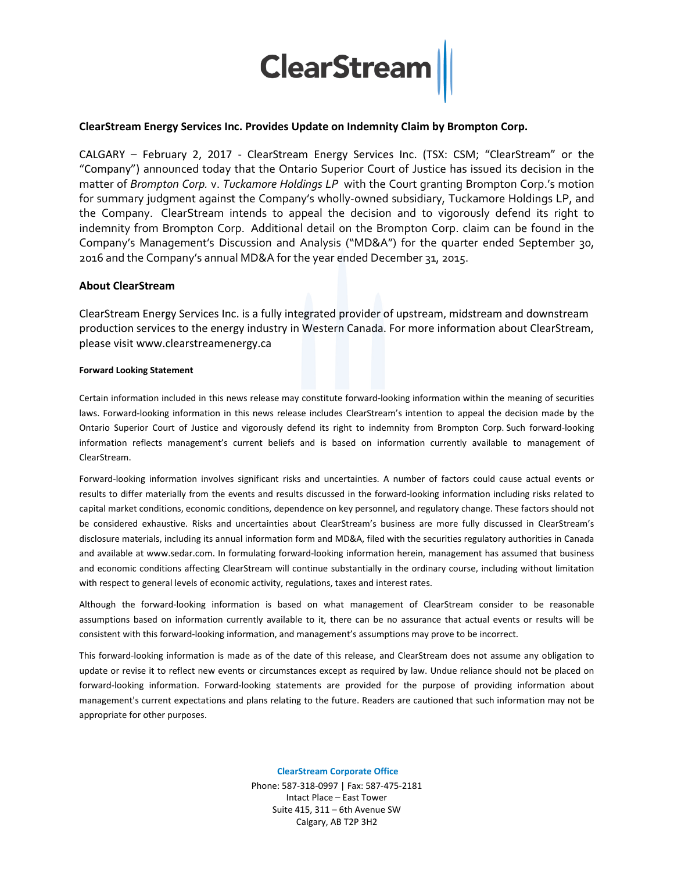

## **ClearStream Energy Services Inc. Provides Update on Indemnity Claim by Brompton Corp.**

CALGARY – February 2, 2017 - ClearStream Energy Services Inc. (TSX: CSM; "ClearStream" or the "Company") announced today that the Ontario Superior Court of Justice has issued its decision in the matter of *Brompton Corp.* v. *Tuckamore Holdings LP* with the Court granting Brompton Corp.'s motion for summary judgment against the Company's wholly-owned subsidiary, Tuckamore Holdings LP, and the Company. ClearStream intends to appeal the decision and to vigorously defend its right to indemnity from Brompton Corp. Additional detail on the Brompton Corp. claim can be found in the Company's Management's Discussion and Analysis ("MD&A") for the quarter ended September 30, 2016 and the Company's annual MD&A for the year ended December 31, 2015.

## **About ClearStream**

ClearStream Energy Services Inc. is a fully integrated provider of upstream, midstream and downstream production services to the energy industry in Western Canada. For more information about ClearStream, please visit www.clearstreamenergy.ca

## **Forward Looking Statement**

Certain information included in this news release may constitute forward-looking information within the meaning of securities laws. Forward-looking information in this news release includes ClearStream's intention to appeal the decision made by the Ontario Superior Court of Justice and vigorously defend its right to indemnity from Brompton Corp. Such forward-looking information reflects management's current beliefs and is based on information currently available to management of ClearStream.

Forward-looking information involves significant risks and uncertainties. A number of factors could cause actual events or results to differ materially from the events and results discussed in the forward-looking information including risks related to capital market conditions, economic conditions, dependence on key personnel, and regulatory change. These factors should not be considered exhaustive. Risks and uncertainties about ClearStream's business are more fully discussed in ClearStream's disclosure materials, including its annual information form and MD&A, filed with the securities regulatory authorities in Canada and available at www.sedar.com. In formulating forward-looking information herein, management has assumed that business and economic conditions affecting ClearStream will continue substantially in the ordinary course, including without limitation with respect to general levels of economic activity, regulations, taxes and interest rates.

Although the forward-looking information is based on what management of ClearStream consider to be reasonable assumptions based on information currently available to it, there can be no assurance that actual events or results will be consistent with this forward-looking information, and management's assumptions may prove to be incorrect.

This forward-looking information is made as of the date of this release, and ClearStream does not assume any obligation to update or revise it to reflect new events or circumstances except as required by law. Undue reliance should not be placed on forward-looking information. Forward-looking statements are provided for the purpose of providing information about management's current expectations and plans relating to the future. Readers are cautioned that such information may not be appropriate for other purposes.

**ClearStream Corporate Office**

Phone: 587-318-0997 | Fax: 587-475-2181 Intact Place – East Tower Suite 415, 311 – 6th Avenue SW Calgary, AB T2P 3H2